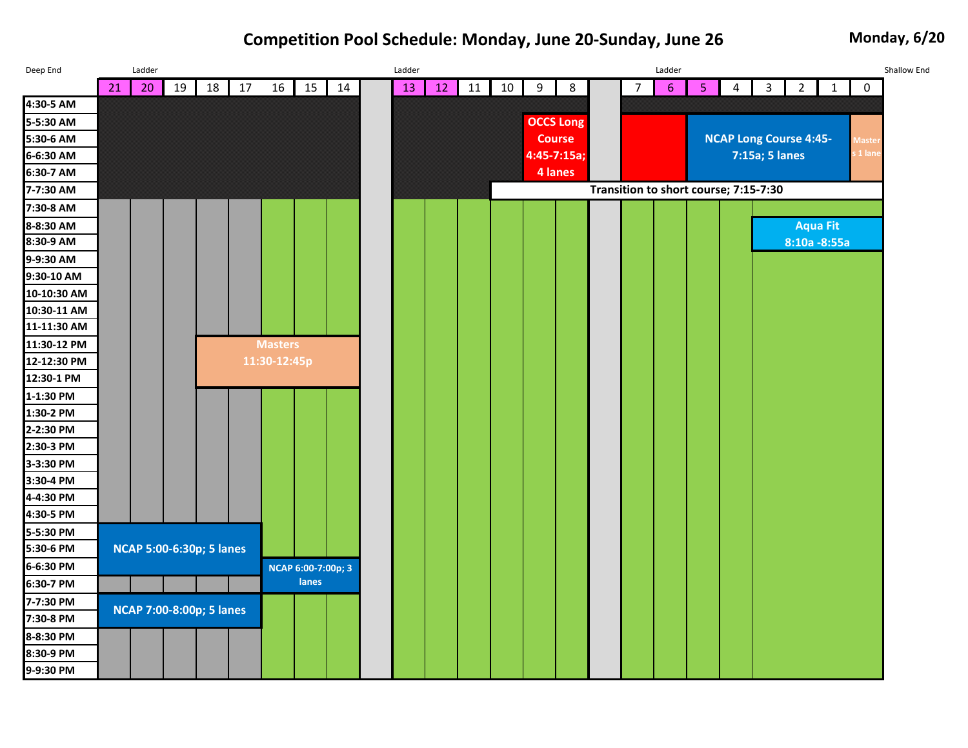**Competition Pool Schedule: Monday, June 20-Sunday, June 26 Monday, 6/20**

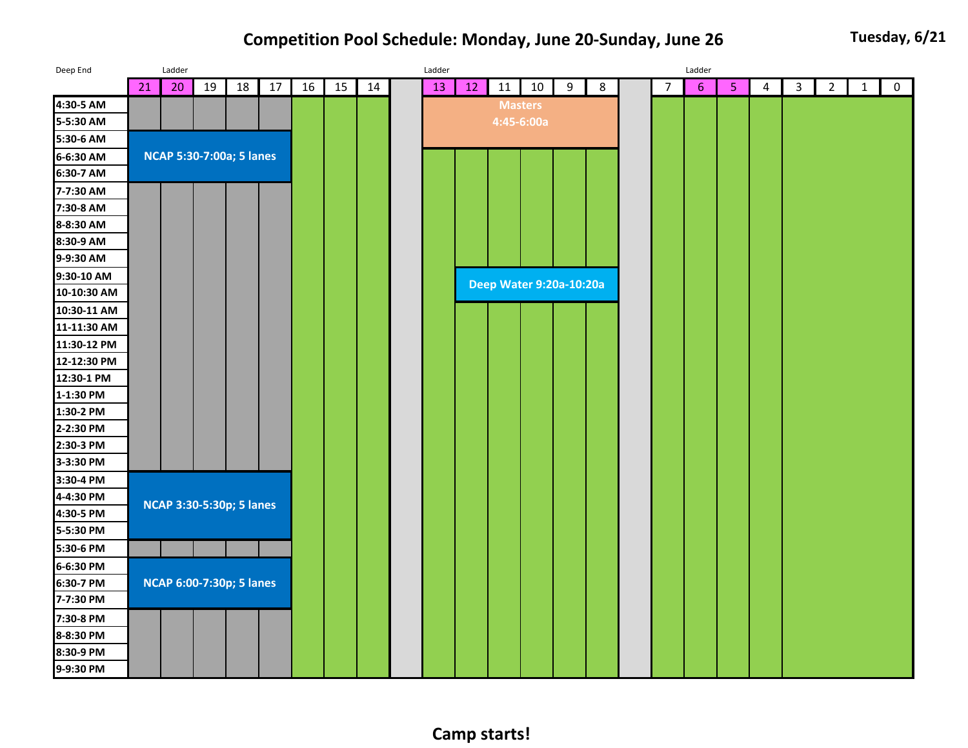## **Competition Pool Schedule: Monday, June 20-Sunday, June 26 Tuesday, 6/21**

| Deep End    |    | Ladder |                          |    |    |    |    |    | Ladder |    |        |                         |   |         |                | Ladder         |                |                |              |                |             |             |
|-------------|----|--------|--------------------------|----|----|----|----|----|--------|----|--------|-------------------------|---|---------|----------------|----------------|----------------|----------------|--------------|----------------|-------------|-------------|
|             | 21 | 20     | 19                       | 18 | 17 | 16 | 15 | 14 | 13     | 12 | $11\,$ | 10                      | 9 | $\,8\,$ | $\overline{7}$ | $6\phantom{a}$ | 5 <sub>1</sub> | $\overline{4}$ | $\mathbf{3}$ | $\overline{2}$ | $\mathbf 1$ | $\mathbf 0$ |
| 4:30-5 AM   |    |        |                          |    |    |    |    |    |        |    |        | <b>Masters</b>          |   |         |                |                |                |                |              |                |             |             |
| 5-5:30 AM   |    |        |                          |    |    |    |    |    |        |    |        | 4:45-6:00a              |   |         |                |                |                |                |              |                |             |             |
| 5:30-6 AM   |    |        |                          |    |    |    |    |    |        |    |        |                         |   |         |                |                |                |                |              |                |             |             |
| 6-6:30 AM   |    |        | NCAP 5:30-7:00a; 5 lanes |    |    |    |    |    |        |    |        |                         |   |         |                |                |                |                |              |                |             |             |
| 6:30-7 AM   |    |        |                          |    |    |    |    |    |        |    |        |                         |   |         |                |                |                |                |              |                |             |             |
| 7-7:30 AM   |    |        |                          |    |    |    |    |    |        |    |        |                         |   |         |                |                |                |                |              |                |             |             |
| 7:30-8 AM   |    |        |                          |    |    |    |    |    |        |    |        |                         |   |         |                |                |                |                |              |                |             |             |
| 8-8:30 AM   |    |        |                          |    |    |    |    |    |        |    |        |                         |   |         |                |                |                |                |              |                |             |             |
| 8:30-9 AM   |    |        |                          |    |    |    |    |    |        |    |        |                         |   |         |                |                |                |                |              |                |             |             |
| 9-9:30 AM   |    |        |                          |    |    |    |    |    |        |    |        |                         |   |         |                |                |                |                |              |                |             |             |
| 9:30-10 AM  |    |        |                          |    |    |    |    |    |        |    |        | Deep Water 9:20a-10:20a |   |         |                |                |                |                |              |                |             |             |
| 10-10:30 AM |    |        |                          |    |    |    |    |    |        |    |        |                         |   |         |                |                |                |                |              |                |             |             |
| 10:30-11 AM |    |        |                          |    |    |    |    |    |        |    |        |                         |   |         |                |                |                |                |              |                |             |             |
| 11-11:30 AM |    |        |                          |    |    |    |    |    |        |    |        |                         |   |         |                |                |                |                |              |                |             |             |
| 11:30-12 PM |    |        |                          |    |    |    |    |    |        |    |        |                         |   |         |                |                |                |                |              |                |             |             |
| 12-12:30 PM |    |        |                          |    |    |    |    |    |        |    |        |                         |   |         |                |                |                |                |              |                |             |             |
| 12:30-1 PM  |    |        |                          |    |    |    |    |    |        |    |        |                         |   |         |                |                |                |                |              |                |             |             |
| 1-1:30 PM   |    |        |                          |    |    |    |    |    |        |    |        |                         |   |         |                |                |                |                |              |                |             |             |
| 1:30-2 PM   |    |        |                          |    |    |    |    |    |        |    |        |                         |   |         |                |                |                |                |              |                |             |             |
| 2-2:30 PM   |    |        |                          |    |    |    |    |    |        |    |        |                         |   |         |                |                |                |                |              |                |             |             |
| 2:30-3 PM   |    |        |                          |    |    |    |    |    |        |    |        |                         |   |         |                |                |                |                |              |                |             |             |
| 3-3:30 PM   |    |        |                          |    |    |    |    |    |        |    |        |                         |   |         |                |                |                |                |              |                |             |             |
| 3:30-4 PM   |    |        |                          |    |    |    |    |    |        |    |        |                         |   |         |                |                |                |                |              |                |             |             |
| 4-4:30 PM   |    |        | NCAP 3:30-5:30p; 5 lanes |    |    |    |    |    |        |    |        |                         |   |         |                |                |                |                |              |                |             |             |
| 4:30-5 PM   |    |        |                          |    |    |    |    |    |        |    |        |                         |   |         |                |                |                |                |              |                |             |             |
| 5-5:30 PM   |    |        |                          |    |    |    |    |    |        |    |        |                         |   |         |                |                |                |                |              |                |             |             |
| 5:30-6 PM   |    |        |                          |    |    |    |    |    |        |    |        |                         |   |         |                |                |                |                |              |                |             |             |
| 6-6:30 PM   |    |        |                          |    |    |    |    |    |        |    |        |                         |   |         |                |                |                |                |              |                |             |             |
| 6:30-7 PM   |    |        | NCAP 6:00-7:30p; 5 lanes |    |    |    |    |    |        |    |        |                         |   |         |                |                |                |                |              |                |             |             |
| 7-7:30 PM   |    |        |                          |    |    |    |    |    |        |    |        |                         |   |         |                |                |                |                |              |                |             |             |
| 7:30-8 PM   |    |        |                          |    |    |    |    |    |        |    |        |                         |   |         |                |                |                |                |              |                |             |             |
| 8-8:30 PM   |    |        |                          |    |    |    |    |    |        |    |        |                         |   |         |                |                |                |                |              |                |             |             |
| 8:30-9 PM   |    |        |                          |    |    |    |    |    |        |    |        |                         |   |         |                |                |                |                |              |                |             |             |
| 9-9:30 PM   |    |        |                          |    |    |    |    |    |        |    |        |                         |   |         |                |                |                |                |              |                |             |             |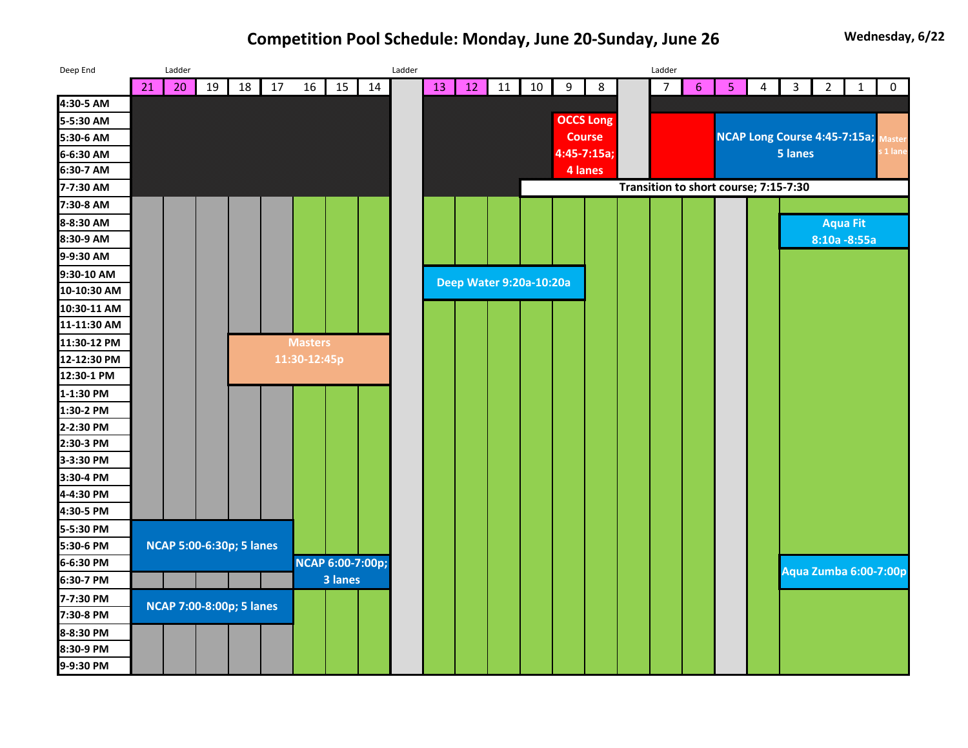**Competition Pool Schedule: Monday, June 20-Sunday, June 26** Wednesday, 6/22

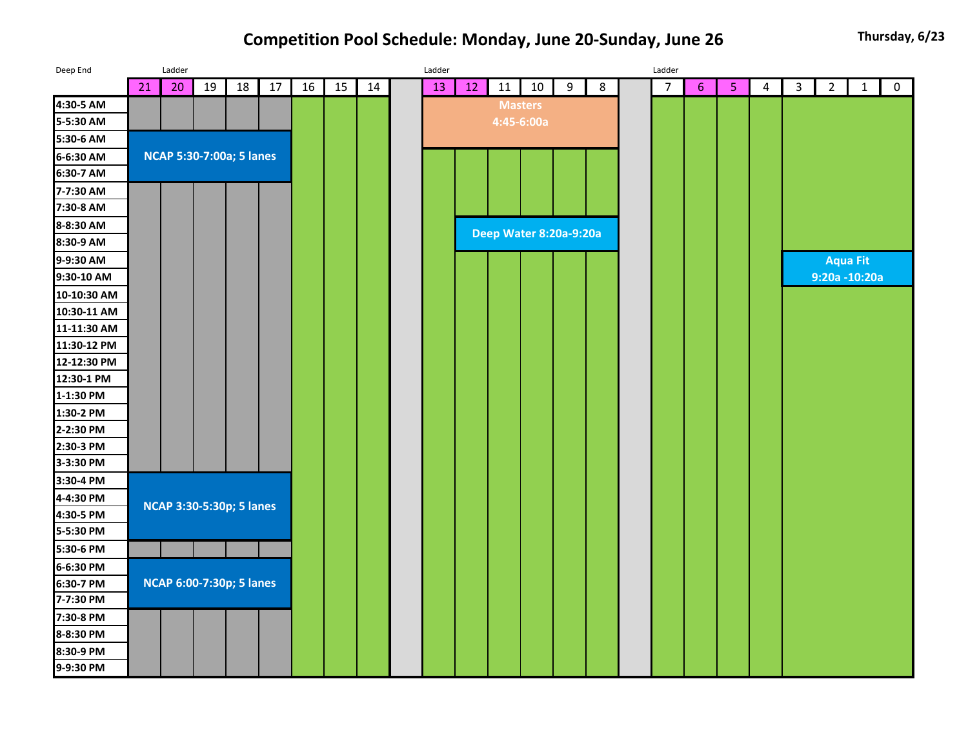**Competition Pool Schedule: Monday, June 20-Sunday, June 26 Thursday, 6/23**

| Deep End    |    | Ladder |                          |    |    |    |    |    | Ladder |    |            |                |                        |   | Ladder         |                |   |                |              |                |                 |             |
|-------------|----|--------|--------------------------|----|----|----|----|----|--------|----|------------|----------------|------------------------|---|----------------|----------------|---|----------------|--------------|----------------|-----------------|-------------|
|             | 21 | 20     | 19                       | 18 | 17 | 16 | 15 | 14 | 13     | 12 | 11         | 10             | $9\,$                  | 8 | $\overline{7}$ | $6\phantom{a}$ | 5 | $\overline{4}$ | $\mathbf{3}$ | $\overline{2}$ | $\mathbf{1}$    | $\mathbf 0$ |
| 4:30-5 AM   |    |        |                          |    |    |    |    |    |        |    |            | <b>Masters</b> |                        |   |                |                |   |                |              |                |                 |             |
| 5-5:30 AM   |    |        |                          |    |    |    |    |    |        |    | 4:45-6:00a |                |                        |   |                |                |   |                |              |                |                 |             |
| 5:30-6 AM   |    |        |                          |    |    |    |    |    |        |    |            |                |                        |   |                |                |   |                |              |                |                 |             |
| 6-6:30 AM   |    |        | NCAP 5:30-7:00a; 5 lanes |    |    |    |    |    |        |    |            |                |                        |   |                |                |   |                |              |                |                 |             |
| 6:30-7 AM   |    |        |                          |    |    |    |    |    |        |    |            |                |                        |   |                |                |   |                |              |                |                 |             |
| 7-7:30 AM   |    |        |                          |    |    |    |    |    |        |    |            |                |                        |   |                |                |   |                |              |                |                 |             |
| 7:30-8 AM   |    |        |                          |    |    |    |    |    |        |    |            |                |                        |   |                |                |   |                |              |                |                 |             |
| 8-8:30 AM   |    |        |                          |    |    |    |    |    |        |    |            |                | Deep Water 8:20a-9:20a |   |                |                |   |                |              |                |                 |             |
| 8:30-9 AM   |    |        |                          |    |    |    |    |    |        |    |            |                |                        |   |                |                |   |                |              |                |                 |             |
| 9-9:30 AM   |    |        |                          |    |    |    |    |    |        |    |            |                |                        |   |                |                |   |                |              |                | <b>Aqua Fit</b> |             |
| 9:30-10 AM  |    |        |                          |    |    |    |    |    |        |    |            |                |                        |   |                |                |   |                |              |                | 9:20a -10:20a   |             |
| 10-10:30 AM |    |        |                          |    |    |    |    |    |        |    |            |                |                        |   |                |                |   |                |              |                |                 |             |
| 10:30-11 AM |    |        |                          |    |    |    |    |    |        |    |            |                |                        |   |                |                |   |                |              |                |                 |             |
| 11-11:30 AM |    |        |                          |    |    |    |    |    |        |    |            |                |                        |   |                |                |   |                |              |                |                 |             |
| 11:30-12 PM |    |        |                          |    |    |    |    |    |        |    |            |                |                        |   |                |                |   |                |              |                |                 |             |
| 12-12:30 PM |    |        |                          |    |    |    |    |    |        |    |            |                |                        |   |                |                |   |                |              |                |                 |             |
| 12:30-1 PM  |    |        |                          |    |    |    |    |    |        |    |            |                |                        |   |                |                |   |                |              |                |                 |             |
| 1-1:30 PM   |    |        |                          |    |    |    |    |    |        |    |            |                |                        |   |                |                |   |                |              |                |                 |             |
| 1:30-2 PM   |    |        |                          |    |    |    |    |    |        |    |            |                |                        |   |                |                |   |                |              |                |                 |             |
| 2-2:30 PM   |    |        |                          |    |    |    |    |    |        |    |            |                |                        |   |                |                |   |                |              |                |                 |             |
| 2:30-3 PM   |    |        |                          |    |    |    |    |    |        |    |            |                |                        |   |                |                |   |                |              |                |                 |             |
| 3-3:30 PM   |    |        |                          |    |    |    |    |    |        |    |            |                |                        |   |                |                |   |                |              |                |                 |             |
| 3:30-4 PM   |    |        |                          |    |    |    |    |    |        |    |            |                |                        |   |                |                |   |                |              |                |                 |             |
| 4-4:30 PM   |    |        | NCAP 3:30-5:30p; 5 lanes |    |    |    |    |    |        |    |            |                |                        |   |                |                |   |                |              |                |                 |             |
| 4:30-5 PM   |    |        |                          |    |    |    |    |    |        |    |            |                |                        |   |                |                |   |                |              |                |                 |             |
| 5-5:30 PM   |    |        |                          |    |    |    |    |    |        |    |            |                |                        |   |                |                |   |                |              |                |                 |             |
| 5:30-6 PM   |    |        |                          |    |    |    |    |    |        |    |            |                |                        |   |                |                |   |                |              |                |                 |             |
| 6-6:30 PM   |    |        |                          |    |    |    |    |    |        |    |            |                |                        |   |                |                |   |                |              |                |                 |             |
| 6:30-7 PM   |    |        | NCAP 6:00-7:30p; 5 lanes |    |    |    |    |    |        |    |            |                |                        |   |                |                |   |                |              |                |                 |             |
| 7-7:30 PM   |    |        |                          |    |    |    |    |    |        |    |            |                |                        |   |                |                |   |                |              |                |                 |             |
| 7:30-8 PM   |    |        |                          |    |    |    |    |    |        |    |            |                |                        |   |                |                |   |                |              |                |                 |             |
| 8-8:30 PM   |    |        |                          |    |    |    |    |    |        |    |            |                |                        |   |                |                |   |                |              |                |                 |             |
| 8:30-9 PM   |    |        |                          |    |    |    |    |    |        |    |            |                |                        |   |                |                |   |                |              |                |                 |             |
| 9-9:30 PM   |    |        |                          |    |    |    |    |    |        |    |            |                |                        |   |                |                |   |                |              |                |                 |             |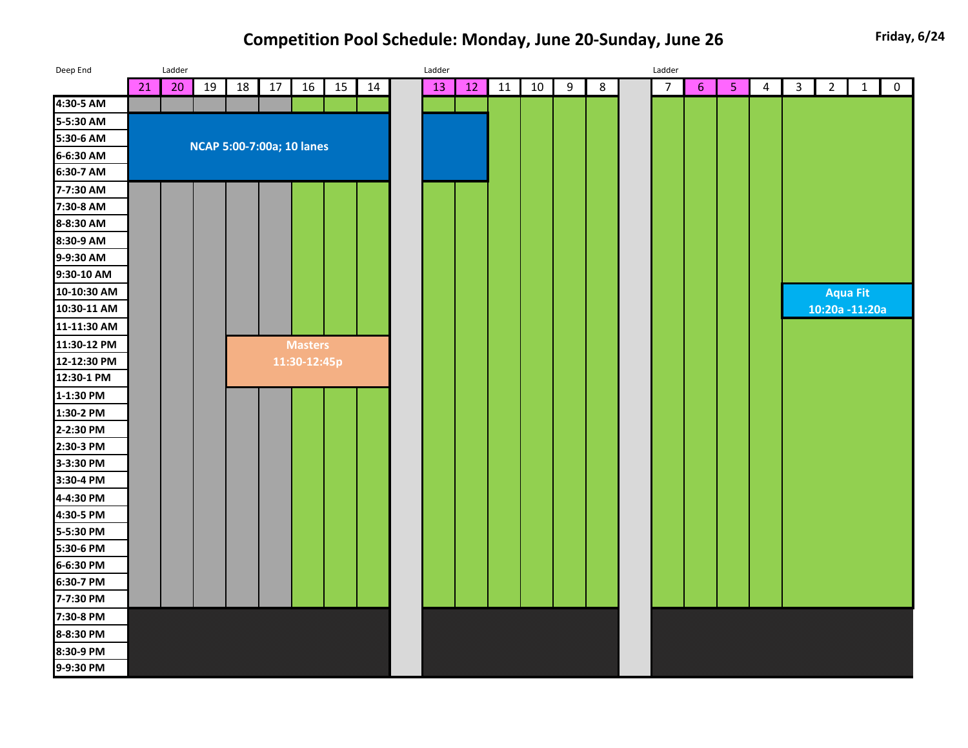**Competition Pool Schedule: Monday, June 20-Sunday, June 26** Friday, 6/24

| Deep End               | Ladder                    |    |    |    |    |                |    |    |  | Ladder |    |        |    |                  |   | Ladder         |                 |                |                |              |                |                 |             |  |  |  |
|------------------------|---------------------------|----|----|----|----|----------------|----|----|--|--------|----|--------|----|------------------|---|----------------|-----------------|----------------|----------------|--------------|----------------|-----------------|-------------|--|--|--|
|                        | 21                        | 20 | 19 | 18 | 17 | 16             | 15 | 14 |  | 13     | 12 | $11\,$ | 10 | $\boldsymbol{9}$ | 8 | $\overline{7}$ | $6\overline{6}$ | $\overline{5}$ | $\overline{a}$ | $\mathbf{3}$ | $\overline{2}$ | $\mathbf{1}$    | $\mathbf 0$ |  |  |  |
| 4:30-5 AM              |                           |    |    |    |    |                |    |    |  |        |    |        |    |                  |   |                |                 |                |                |              |                |                 |             |  |  |  |
| 5-5:30 AM              |                           |    |    |    |    |                |    |    |  |        |    |        |    |                  |   |                |                 |                |                |              |                |                 |             |  |  |  |
| 5:30-6 AM              | NCAP 5:00-7:00a; 10 lanes |    |    |    |    |                |    |    |  |        |    |        |    |                  |   |                |                 |                |                |              |                |                 |             |  |  |  |
| 6-6:30 AM              |                           |    |    |    |    |                |    |    |  |        |    |        |    |                  |   |                |                 |                |                |              |                |                 |             |  |  |  |
| 6:30-7 AM              |                           |    |    |    |    |                |    |    |  |        |    |        |    |                  |   |                |                 |                |                |              |                |                 |             |  |  |  |
| 7-7:30 AM              |                           |    |    |    |    |                |    |    |  |        |    |        |    |                  |   |                |                 |                |                |              |                |                 |             |  |  |  |
| 7:30-8 AM              |                           |    |    |    |    |                |    |    |  |        |    |        |    |                  |   |                |                 |                |                |              |                |                 |             |  |  |  |
| 8-8:30 AM              |                           |    |    |    |    |                |    |    |  |        |    |        |    |                  |   |                |                 |                |                |              |                |                 |             |  |  |  |
| 8:30-9 AM              |                           |    |    |    |    |                |    |    |  |        |    |        |    |                  |   |                |                 |                |                |              |                |                 |             |  |  |  |
| 9-9:30 AM              |                           |    |    |    |    |                |    |    |  |        |    |        |    |                  |   |                |                 |                |                |              |                |                 |             |  |  |  |
| 9:30-10 AM             |                           |    |    |    |    |                |    |    |  |        |    |        |    |                  |   |                |                 |                |                |              |                |                 |             |  |  |  |
| 10-10:30 AM            |                           |    |    |    |    |                |    |    |  |        |    |        |    |                  |   |                |                 |                |                |              |                | <b>Aqua Fit</b> |             |  |  |  |
| 10:30-11 AM            |                           |    |    |    |    |                |    |    |  |        |    |        |    |                  |   |                |                 |                |                |              | 10:20a -11:20a |                 |             |  |  |  |
| 11-11:30 AM            |                           |    |    |    |    |                |    |    |  |        |    |        |    |                  |   |                |                 |                |                |              |                |                 |             |  |  |  |
| 11:30-12 PM            |                           |    |    |    |    | <b>Masters</b> |    |    |  |        |    |        |    |                  |   |                |                 |                |                |              |                |                 |             |  |  |  |
| 12-12:30 PM            |                           |    |    |    |    | 11:30-12:45p   |    |    |  |        |    |        |    |                  |   |                |                 |                |                |              |                |                 |             |  |  |  |
| 12:30-1 PM             |                           |    |    |    |    |                |    |    |  |        |    |        |    |                  |   |                |                 |                |                |              |                |                 |             |  |  |  |
| 1-1:30 PM              |                           |    |    |    |    |                |    |    |  |        |    |        |    |                  |   |                |                 |                |                |              |                |                 |             |  |  |  |
| 1:30-2 PM              |                           |    |    |    |    |                |    |    |  |        |    |        |    |                  |   |                |                 |                |                |              |                |                 |             |  |  |  |
| 2-2:30 PM<br>2:30-3 PM |                           |    |    |    |    |                |    |    |  |        |    |        |    |                  |   |                |                 |                |                |              |                |                 |             |  |  |  |
| 3-3:30 PM              |                           |    |    |    |    |                |    |    |  |        |    |        |    |                  |   |                |                 |                |                |              |                |                 |             |  |  |  |
| 3:30-4 PM              |                           |    |    |    |    |                |    |    |  |        |    |        |    |                  |   |                |                 |                |                |              |                |                 |             |  |  |  |
| 4-4:30 PM              |                           |    |    |    |    |                |    |    |  |        |    |        |    |                  |   |                |                 |                |                |              |                |                 |             |  |  |  |
| 4:30-5 PM              |                           |    |    |    |    |                |    |    |  |        |    |        |    |                  |   |                |                 |                |                |              |                |                 |             |  |  |  |
| 5-5:30 PM              |                           |    |    |    |    |                |    |    |  |        |    |        |    |                  |   |                |                 |                |                |              |                |                 |             |  |  |  |
| 5:30-6 PM              |                           |    |    |    |    |                |    |    |  |        |    |        |    |                  |   |                |                 |                |                |              |                |                 |             |  |  |  |
| 6-6:30 PM              |                           |    |    |    |    |                |    |    |  |        |    |        |    |                  |   |                |                 |                |                |              |                |                 |             |  |  |  |
| 6:30-7 PM              |                           |    |    |    |    |                |    |    |  |        |    |        |    |                  |   |                |                 |                |                |              |                |                 |             |  |  |  |
| 7-7:30 PM              |                           |    |    |    |    |                |    |    |  |        |    |        |    |                  |   |                |                 |                |                |              |                |                 |             |  |  |  |
| 7:30-8 PM              |                           |    |    |    |    |                |    |    |  |        |    |        |    |                  |   |                |                 |                |                |              |                |                 |             |  |  |  |
| 8-8:30 PM              |                           |    |    |    |    |                |    |    |  |        |    |        |    |                  |   |                |                 |                |                |              |                |                 |             |  |  |  |
| 8:30-9 PM              |                           |    |    |    |    |                |    |    |  |        |    |        |    |                  |   |                |                 |                |                |              |                |                 |             |  |  |  |
| 9-9:30 PM              |                           |    |    |    |    |                |    |    |  |        |    |        |    |                  |   |                |                 |                |                |              |                |                 |             |  |  |  |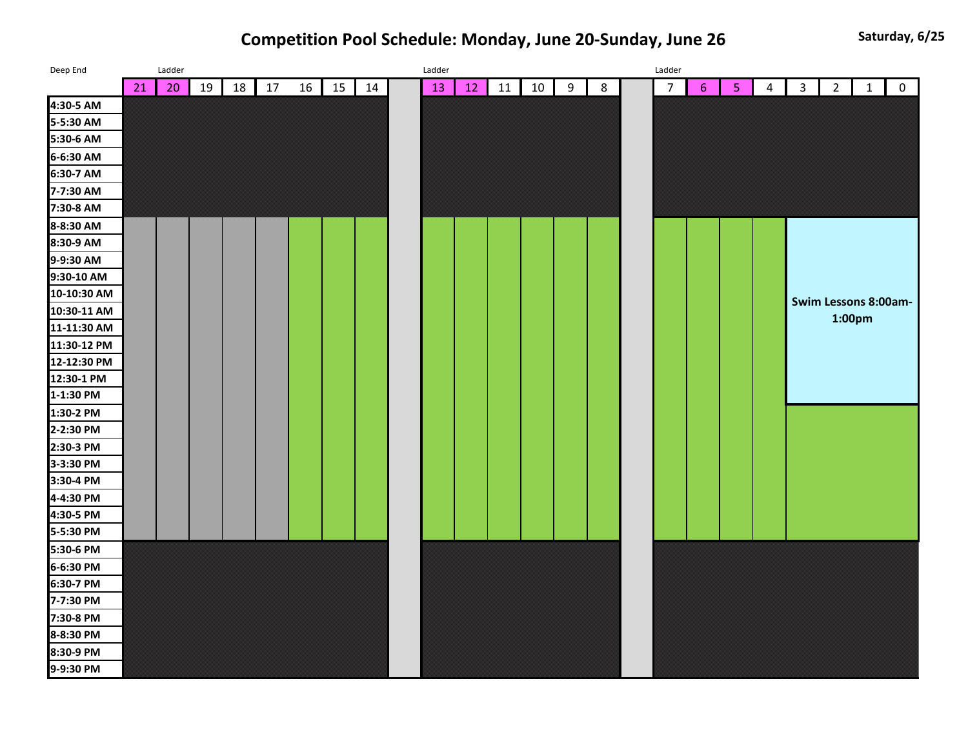**Competition Pool Schedule: Monday, June 20-Sunday, June 26 Saturday, 6/25**

| Deep End               |    | Ladder |    |    |    |    |    |    | Ladder |    |    |    |    |   |   |  |                | Ladder |                |   |              |                             |              |             |  |  |  |
|------------------------|----|--------|----|----|----|----|----|----|--------|----|----|----|----|---|---|--|----------------|--------|----------------|---|--------------|-----------------------------|--------------|-------------|--|--|--|
|                        | 21 | 20     | 19 | 18 | 17 | 16 | 15 | 14 |        | 13 | 12 | 11 | 10 | 9 | 8 |  | $\overline{7}$ | $6\,$  | 5 <sub>o</sub> | 4 | $\mathbf{3}$ | $\overline{2}$              | $\mathbf{1}$ | $\mathbf 0$ |  |  |  |
| 4:30-5 AM              |    |        |    |    |    |    |    |    |        |    |    |    |    |   |   |  |                |        |                |   |              |                             |              |             |  |  |  |
| 5-5:30 AM              |    |        |    |    |    |    |    |    |        |    |    |    |    |   |   |  |                |        |                |   |              |                             |              |             |  |  |  |
| 5:30-6 AM              |    |        |    |    |    |    |    |    |        |    |    |    |    |   |   |  |                |        |                |   |              |                             |              |             |  |  |  |
| 6-6:30 AM              |    |        |    |    |    |    |    |    |        |    |    |    |    |   |   |  |                |        |                |   |              |                             |              |             |  |  |  |
| 6:30-7 AM              |    |        |    |    |    |    |    |    |        |    |    |    |    |   |   |  |                |        |                |   |              |                             |              |             |  |  |  |
| 7-7:30 AM              |    |        |    |    |    |    |    |    |        |    |    |    |    |   |   |  |                |        |                |   |              |                             |              |             |  |  |  |
| 7:30-8 AM              |    |        |    |    |    |    |    |    |        |    |    |    |    |   |   |  |                |        |                |   |              |                             |              |             |  |  |  |
| 8-8:30 AM              |    |        |    |    |    |    |    |    |        |    |    |    |    |   |   |  |                |        |                |   |              |                             |              |             |  |  |  |
| 8:30-9 AM              |    |        |    |    |    |    |    |    |        |    |    |    |    |   |   |  |                |        |                |   |              |                             |              |             |  |  |  |
| 9-9:30 AM              |    |        |    |    |    |    |    |    |        |    |    |    |    |   |   |  |                |        |                |   |              |                             |              |             |  |  |  |
| 9:30-10 AM             |    |        |    |    |    |    |    |    |        |    |    |    |    |   |   |  |                |        |                |   |              |                             |              |             |  |  |  |
| 10-10:30 AM            |    |        |    |    |    |    |    |    |        |    |    |    |    |   |   |  |                |        |                |   |              | <b>Swim Lessons 8:00am-</b> |              |             |  |  |  |
| 10:30-11 AM            |    |        |    |    |    |    |    |    |        |    |    |    |    |   |   |  |                |        |                |   |              | 1:00pm                      |              |             |  |  |  |
| 11-11:30 AM            |    |        |    |    |    |    |    |    |        |    |    |    |    |   |   |  |                |        |                |   |              |                             |              |             |  |  |  |
| 11:30-12 PM            |    |        |    |    |    |    |    |    |        |    |    |    |    |   |   |  |                |        |                |   |              |                             |              |             |  |  |  |
| 12-12:30 PM            |    |        |    |    |    |    |    |    |        |    |    |    |    |   |   |  |                |        |                |   |              |                             |              |             |  |  |  |
| 12:30-1 PM             |    |        |    |    |    |    |    |    |        |    |    |    |    |   |   |  |                |        |                |   |              |                             |              |             |  |  |  |
| 1-1:30 PM              |    |        |    |    |    |    |    |    |        |    |    |    |    |   |   |  |                |        |                |   |              |                             |              |             |  |  |  |
| 1:30-2 PM              |    |        |    |    |    |    |    |    |        |    |    |    |    |   |   |  |                |        |                |   |              |                             |              |             |  |  |  |
| 2-2:30 PM              |    |        |    |    |    |    |    |    |        |    |    |    |    |   |   |  |                |        |                |   |              |                             |              |             |  |  |  |
| 2:30-3 PM              |    |        |    |    |    |    |    |    |        |    |    |    |    |   |   |  |                |        |                |   |              |                             |              |             |  |  |  |
| 3-3:30 PM              |    |        |    |    |    |    |    |    |        |    |    |    |    |   |   |  |                |        |                |   |              |                             |              |             |  |  |  |
| 3:30-4 PM<br>4-4:30 PM |    |        |    |    |    |    |    |    |        |    |    |    |    |   |   |  |                |        |                |   |              |                             |              |             |  |  |  |
| 4:30-5 PM              |    |        |    |    |    |    |    |    |        |    |    |    |    |   |   |  |                |        |                |   |              |                             |              |             |  |  |  |
| 5-5:30 PM              |    |        |    |    |    |    |    |    |        |    |    |    |    |   |   |  |                |        |                |   |              |                             |              |             |  |  |  |
| 5:30-6 PM              |    |        |    |    |    |    |    |    |        |    |    |    |    |   |   |  |                |        |                |   |              |                             |              |             |  |  |  |
| 6-6:30 PM              |    |        |    |    |    |    |    |    |        |    |    |    |    |   |   |  |                |        |                |   |              |                             |              |             |  |  |  |
| 6:30-7 PM              |    |        |    |    |    |    |    |    |        |    |    |    |    |   |   |  |                |        |                |   |              |                             |              |             |  |  |  |
| 7-7:30 PM              |    |        |    |    |    |    |    |    |        |    |    |    |    |   |   |  |                |        |                |   |              |                             |              |             |  |  |  |
| 7:30-8 PM              |    |        |    |    |    |    |    |    |        |    |    |    |    |   |   |  |                |        |                |   |              |                             |              |             |  |  |  |
| 8-8:30 PM              |    |        |    |    |    |    |    |    |        |    |    |    |    |   |   |  |                |        |                |   |              |                             |              |             |  |  |  |
| 8:30-9 PM              |    |        |    |    |    |    |    |    |        |    |    |    |    |   |   |  |                |        |                |   |              |                             |              |             |  |  |  |
| 9-9:30 PM              |    |        |    |    |    |    |    |    |        |    |    |    |    |   |   |  |                |        |                |   |              |                             |              |             |  |  |  |
|                        |    |        |    |    |    |    |    |    |        |    |    |    |    |   |   |  |                |        |                |   |              |                             |              |             |  |  |  |